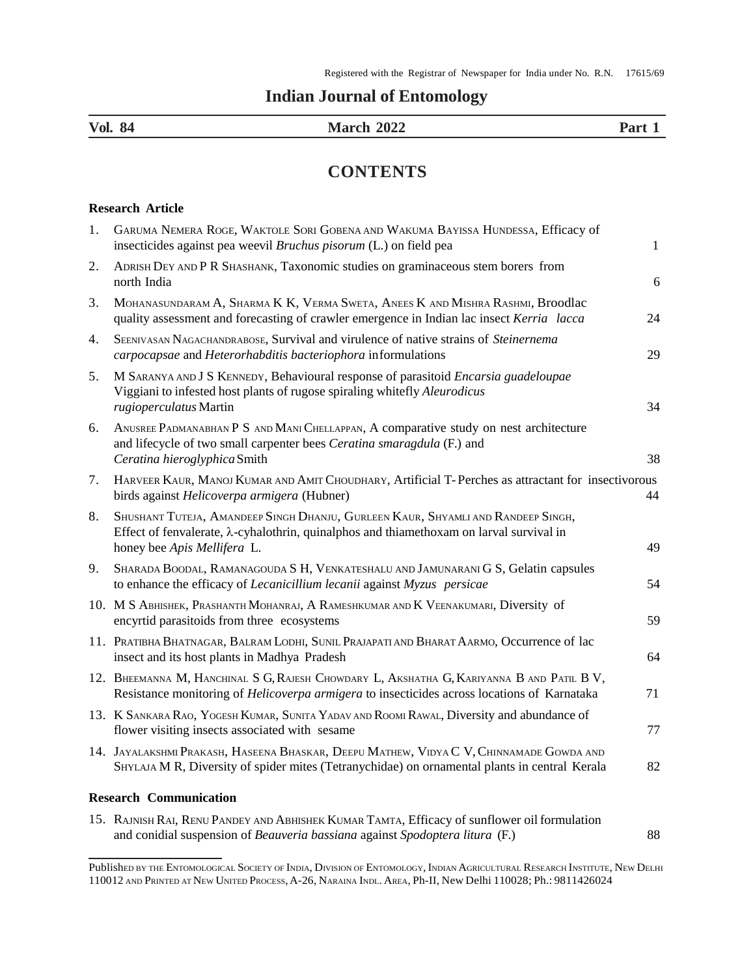## **Indian Journal of Entomology**

| Vol.<br>84 | 2022<br>- -- - -<br>' UR |  |
|------------|--------------------------|--|
|            |                          |  |

## **CONTENTS**

## **Research Article**

| 1. | GARUMA NEMERA ROGE, WAKTOLE SORI GOBENA AND WAKUMA BAYISSA HUNDESSA, Efficacy of<br>insecticides against pea weevil Bruchus pisorum (L.) on field pea                                                               | $1\,$ |
|----|---------------------------------------------------------------------------------------------------------------------------------------------------------------------------------------------------------------------|-------|
| 2. | ADRISH DEY AND P R SHASHANK, Taxonomic studies on graminaceous stem borers from<br>north India                                                                                                                      | 6     |
| 3. | MOHANASUNDARAM A, SHARMA K K, VERMA SWETA, ANEES K AND MISHRA RASHMI, Broodlac<br>quality assessment and forecasting of crawler emergence in Indian lac insect Kerria lacca                                         | 24    |
| 4. | SEENIVASAN NAGACHANDRABOSE, Survival and virulence of native strains of Steinernema<br>carpocapsae and Heterorhabditis bacteriophora informulations                                                                 | 29    |
| 5. | M SARANYA AND J S KENNEDY, Behavioural response of parasitoid Encarsia guadeloupae<br>Viggiani to infested host plants of rugose spiraling whitefly Aleurodicus<br>rugioperculatus Martin                           | 34    |
| 6. | ANUSREE PADMANABHAN P S AND MANI CHELLAPPAN, A comparative study on nest architecture<br>and lifecycle of two small carpenter bees Ceratina smaragdula (F.) and<br>Ceratina hieroglyphica Smith                     | 38    |
| 7. | HARVEER KAUR, MANOJ KUMAR AND AMIT CHOUDHARY, Artificial T-Perches as attractant for insectivorous<br>birds against Helicoverpa armigera (Hubner)                                                                   | 44    |
| 8. | SHUSHANT TUTEJA, AMANDEEP SINGH DHANJU, GURLEEN KAUR, SHYAMLI AND RANDEEP SINGH,<br>Effect of fenvalerate, $\lambda$ -cyhalothrin, quinalphos and thiamethoxam on larval survival in<br>honey bee Apis Mellifera L. | 49    |
| 9. | SHARADA BOODAL, RAMANAGOUDA S H, VENKATESHALU AND JAMUNARANI G S, Gelatin capsules<br>to enhance the efficacy of Lecanicillium lecanii against Myzus persicae                                                       | 54    |
|    | 10. M S ABHISHEK, PRASHANTH MOHANRAJ, A RAMESHKUMAR AND K VEENAKUMARI, Diversity of<br>encyrtid parasitoids from three ecosystems                                                                                   | 59    |
|    | 11. PRATIBHA BHATNAGAR, BALRAM LODHI, SUNIL PRAJAPATI AND BHARAT AARMO, Occurrence of lac<br>insect and its host plants in Madhya Pradesh                                                                           | 64    |
|    | 12. BHEEMANNA M, HANCHINAL S G, RAJESH CHOWDARY L, AKSHATHA G, KARIYANNA B AND PATIL B V,<br>Resistance monitoring of <i>Helicoverpa armigera</i> to insecticides across locations of Karnataka                     | 71    |
|    | 13. K SANKARA RAO, YOGESH KUMAR, SUNITA YADAV AND ROOMI RAWAL, Diversity and abundance of<br>flower visiting insects associated with sesame                                                                         | 77    |
|    | 14. JAYALAKSHMI PRAKASH, HASEENA BHASKAR, DEEPU MATHEW, VIDYA C V, CHINNAMADE GOWDA AND<br>SHYLAJA M R, Diversity of spider mites (Tetranychidae) on ornamental plants in central Kerala                            | 82    |
|    | <b>Research Communication</b>                                                                                                                                                                                       |       |
|    | 15. RAJNISH RAI, RENU PANDEY AND ABHISHEK KUMAR TAMTA, Efficacy of sunflower oil formulation<br>and conidial suspension of Beauveria bassiana against Spodoptera litura (F.)                                        | 88    |

Published by the ENTOMOLOGICAL SOCIETY OF INDIA, DIVISION OF ENTOMOLOGY, INDIAN AGRICULTURAL RESEARCH INSTITUTE, NEW DELHI 110012 AND PRINTED AT NEW UNITED PROCESS,A-26, NARAINA INDL. AREA, Ph-II, New Delhi 110028; Ph.: 9811426024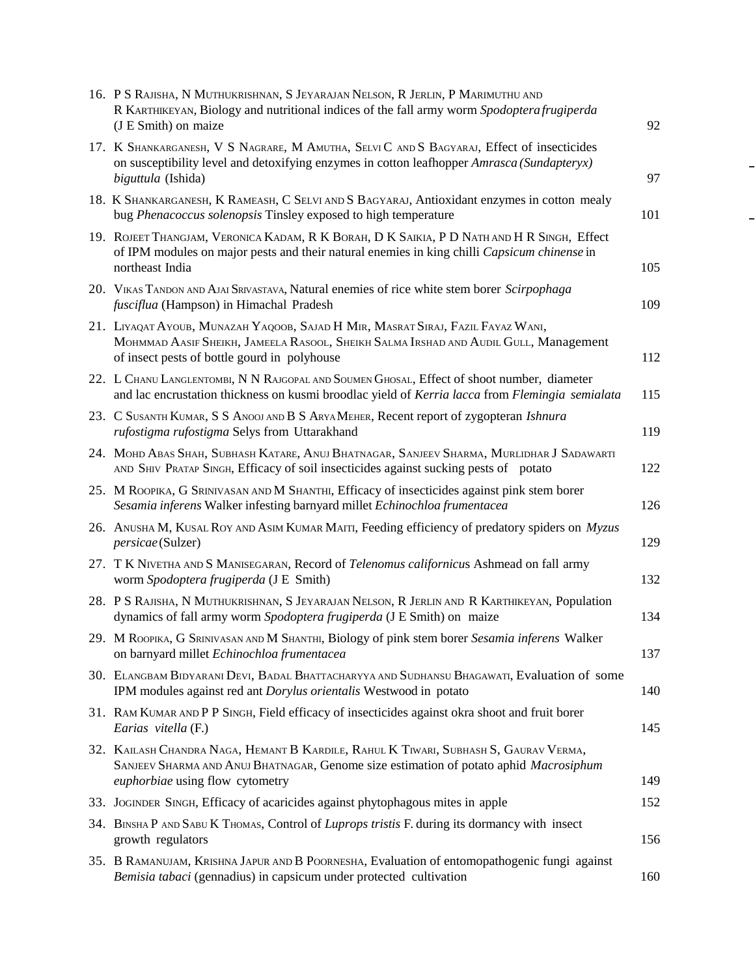| 16. P S RAJISHA, N MUTHUKRISHNAN, S JEYARAJAN NELSON, R JERLIN, P MARIMUTHU AND<br>R KARTHIKEYAN, Biology and nutritional indices of the fall army worm Spodoptera frugiperda<br>(J E Smith) on maize                   | 92  |
|-------------------------------------------------------------------------------------------------------------------------------------------------------------------------------------------------------------------------|-----|
| 17. K SHANKARGANESH, V S NAGRARE, M AMUTHA, SELVIC AND S BAGYARAJ, Effect of insecticides<br>on susceptibility level and detoxifying enzymes in cotton leafhopper Amrasca (Sundapteryx)<br>biguttula (Ishida)           | 97  |
| 18. K SHANKARGANESH, K RAMEASH, C SELVI AND S BAGYARAJ, Antioxidant enzymes in cotton mealy<br>bug Phenacoccus solenopsis Tinsley exposed to high temperature                                                           | 101 |
| 19. ROJEET THANGJAM, VERONICA KADAM, R K BORAH, D K SAIKIA, P D NATH AND H R SINGH, Effect<br>of IPM modules on major pests and their natural enemies in king chilli Capsicum chinense in<br>northeast India            | 105 |
| 20. VIKAS TANDON AND AJAI SRIVASTAVA, Natural enemies of rice white stem borer Scirpophaga<br>fusciflua (Hampson) in Himachal Pradesh                                                                                   | 109 |
| 21. LIYAQAT AYOUB, MUNAZAH YAQOOB, SAJAD H MIR, MASRAT SIRAJ, FAZIL FAYAZ WANI,<br>MOHMMAD AASIF SHEIKH, JAMEELA RASOOL, SHEIKH SALMA IRSHAD AND AUDIL GULL, Management<br>of insect pests of bottle gourd in polyhouse | 112 |
| 22. L CHANU LANGLENTOMBI, N N RAJGOPAL AND SOUMEN GHOSAL, Effect of shoot number, diameter<br>and lac encrustation thickness on kusmi broodlac yield of Kerria lacca from Flemingia semialata                           | 115 |
| 23. C SUSANTH KUMAR, S S ANOOJ AND B S ARYA MEHER, Recent report of zygopteran Ishnura<br>rufostigma rufostigma Selys from Uttarakhand                                                                                  | 119 |
| 24. MOHD ABAS SHAH, SUBHASH KATARE, ANUJ BHATNAGAR, SANJEEV SHARMA, MURLIDHAR J SADAWARTI<br>AND SHIV PRATAP SINGH, Efficacy of soil insecticides against sucking pests of potato                                       | 122 |
| 25. M ROOPIKA, G SRINIVASAN AND M SHANTHI, Efficacy of insecticides against pink stem borer<br>Sesamia inferens Walker infesting barnyard millet Echinochloa frumentacea                                                | 126 |
| 26. ANUSHA M, KUSAL ROY AND ASIM KUMAR MAITI, Feeding efficiency of predatory spiders on Myzus<br>persicae (Sulzer)                                                                                                     | 129 |
| 27. T K NIVETHA AND S MANISEGARAN, Record of Telenomus californicus Ashmead on fall army<br>worm Spodoptera frugiperda (J E Smith)                                                                                      | 132 |
| 28. P S RAJISHA, N MUTHUKRISHNAN, S JEYARAJAN NELSON, R JERLIN AND R KARTHIKEYAN, Population<br>dynamics of fall army worm Spodoptera frugiperda (J E Smith) on maize                                                   | 134 |
| 29. M ROOPIKA, G SRINIVASAN AND M SHANTHI, Biology of pink stem borer Sesamia inferens Walker<br>on barnyard millet Echinochloa frumentacea                                                                             | 137 |
| 30. ELANGBAM BIDYARANI DEVI, BADAL BHATTACHARYYA AND SUDHANSU BHAGAWATI, Evaluation of some<br>IPM modules against red ant <i>Dorylus orientalis</i> Westwood in potato                                                 | 140 |
| 31. RAM KUMAR AND P P SINGH, Field efficacy of insecticides against okra shoot and fruit borer<br>Earias vitella (F.)                                                                                                   | 145 |
| 32. KAILASH CHANDRA NAGA, HEMANT B KARDILE, RAHUL K TIWARI, SUBHASH S, GAURAV VERMA,<br>SANJEEV SHARMA AND ANUJ BHATNAGAR, Genome size estimation of potato aphid Macrosiphum<br>euphorbiae using flow cytometry        | 149 |
| 33. JOGINDER SINGH, Efficacy of acaricides against phytophagous mites in apple                                                                                                                                          | 152 |
| 34. BINSHA P AND SABU K THOMAS, Control of Luprops tristis F. during its dormancy with insect<br>growth regulators                                                                                                      | 156 |
| 35. B RAMANUJAM, KRISHNA JAPUR AND B POORNESHA, Evaluation of entomopathogenic fungi against<br>Bemisia tabaci (gennadius) in capsicum under protected cultivation                                                      | 160 |